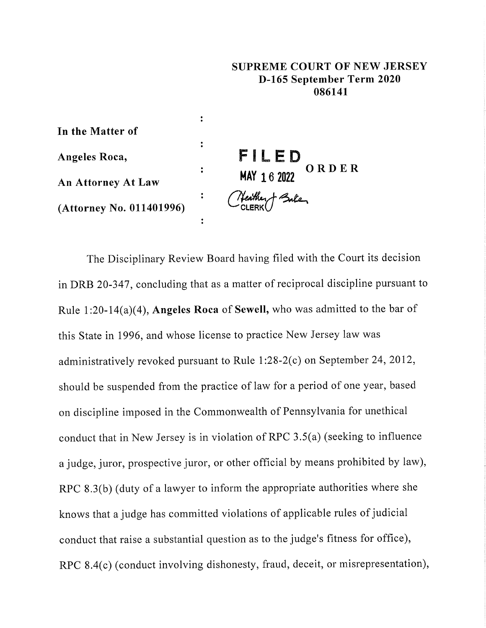## **SUPREME COURT OF NEW JERSEY D-165 September Term 2020 086141**

**In the Matter of Angeles Roca, An Attorney At Law (Attorney No. 011401996)**

**:**

 $\ddot{\cdot}$ 

**:**

 $\ddot{\cdot}$ 

 $\ddot{\cdot}$ 

**FILED HAY 16 2022 ORDER**

The Disciplinary Review Board having filed with the Court its decision in DRB 20-347, concluding that as a matter of reciprocal discipline pursuant to Rule 1:20-14(a)(4), **Angeles Roea** of Sewell, who was admitted to the bar of this State in 1996, and whose license to practice New Jersey law was administratively revoked pursuant to Rule 1:28-2(c) on September 24, 2012, should be suspended from the practice of law for a period of one year, based on discipline imposed in the Commonwealth of Pennsylvania for unethical conduct that in New Jersey is in violation of RPC 3.5(a) (seeking to influence a judge, juror, prospective juror, or other official by means prohibited by law), RPC 8.3(b) (duty of a lawyer to inform the appropriate authorities where she knows that a judge has committed violations of applicable rules of judicial conduct that raise a substantial question as to the judge's fitness for office), RPC 8.4(c) (conduct involving dishonesty, fraud, deceit, or misrepresentation),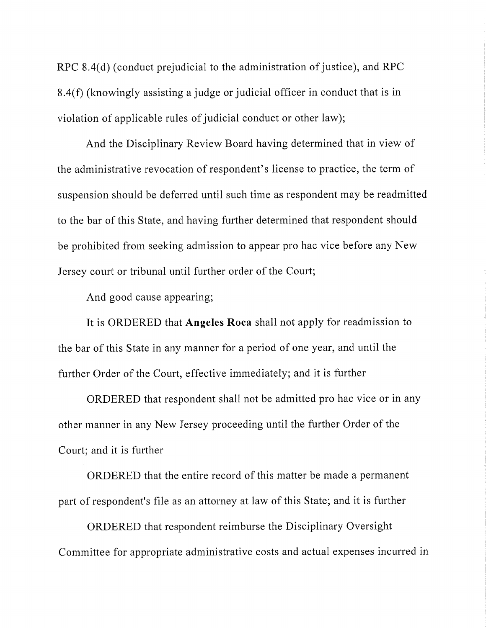RPC 8.4(d) (conduct prejudicial to the administration of justice), and RPC 8.4(f) (knowingly assisting a judge or judicial officer in conduct that is in violation of applicable rules of judicial conduct or other law);

And the Disciplinary Review Board having determined that in view of the administrative revocation of respondent's license to practice, the term of suspension should be deferred until such time as respondent may be readmitted to the bar of this State, and having further determined that respondent should be prohibited from seeking admission to appear pro hac vice before any New Jersey court or tribunal until further order of the Court;

And good cause appearing;

It is ORDERED that Angeles Roea shall not apply for readmission to the bar of this State in any manner for a period of one year, and until the further Order of the Court, effective immediately; and it is further

ORDERED that respondent shall not be admitted pro hac vice or in any other manner in any New Jersey proceeding until the further Order of the Court; and it is further

ORDERED that the entire record of this matter be made a permanent part of respondent's file as an attorney at law of this State; and it is further

ORDERED that respondent reimburse the Disciplinary Oversight Committee for appropriate administrative costs and actual expenses incurred in